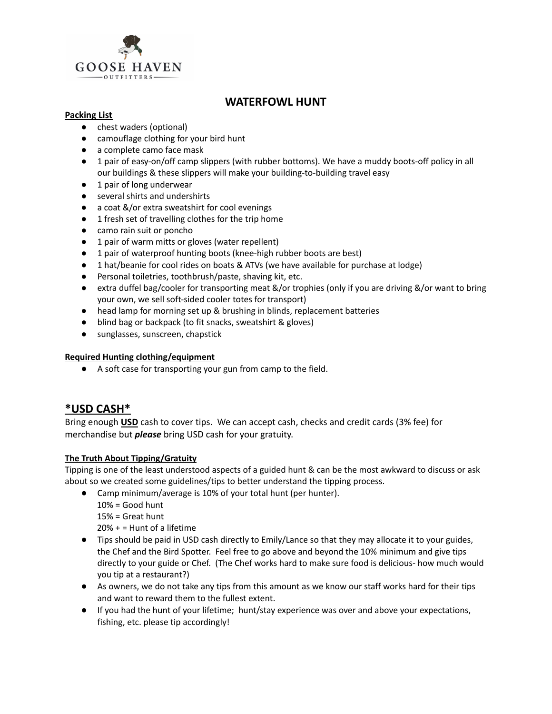

# **WATERFOWL HUNT**

## **Packing List**

- chest waders (optional)
- camouflage clothing for your bird hunt
- a complete camo face mask
- 1 pair of easy-on/off camp slippers (with rubber bottoms). We have a muddy boots-off policy in all our buildings & these slippers will make your building-to-building travel easy
- 1 pair of long underwear
- several shirts and undershirts
- a coat &/or extra sweatshirt for cool evenings
- 1 fresh set of travelling clothes for the trip home
- camo rain suit or poncho
- 1 pair of warm mitts or gloves (water repellent)
- 1 pair of waterproof hunting boots (knee-high rubber boots are best)
- 1 hat/beanie for cool rides on boats & ATVs (we have available for purchase at lodge)
- Personal toiletries, toothbrush/paste, shaving kit, etc.
- extra duffel bag/cooler for transporting meat &/or trophies (only if you are driving &/or want to bring your own, we sell soft-sided cooler totes for transport)
- head lamp for morning set up & brushing in blinds, replacement batteries
- blind bag or backpack (to fit snacks, sweatshirt & gloves)
- sunglasses, sunscreen, chapstick

## **Required Hunting clothing/equipment**

● A soft case for transporting your gun from camp to the field.

# **\*USD CASH\***

Bring enough **USD** cash to cover tips. We can accept cash, checks and credit cards (3% fee) for merchandise but *please* bring USD cash for your gratuity.

# **The Truth About Tipping/Gratuity**

Tipping is one of the least understood aspects of a guided hunt & can be the most awkward to discuss or ask about so we created some guidelines/tips to better understand the tipping process.

- Camp minimum/average is 10% of your total hunt (per hunter).
	- $10% = Good$  hunt

15% = Great hunt

20% + = Hunt of a lifetime

- Tips should be paid in USD cash directly to Emily/Lance so that they may allocate it to your guides, the Chef and the Bird Spotter. Feel free to go above and beyond the 10% minimum and give tips directly to your guide or Chef. (The Chef works hard to make sure food is delicious- how much would you tip at a restaurant?)
- As owners, we do not take any tips from this amount as we know our staff works hard for their tips and want to reward them to the fullest extent.
- If you had the hunt of your lifetime; hunt/stay experience was over and above your expectations, fishing, etc. please tip accordingly!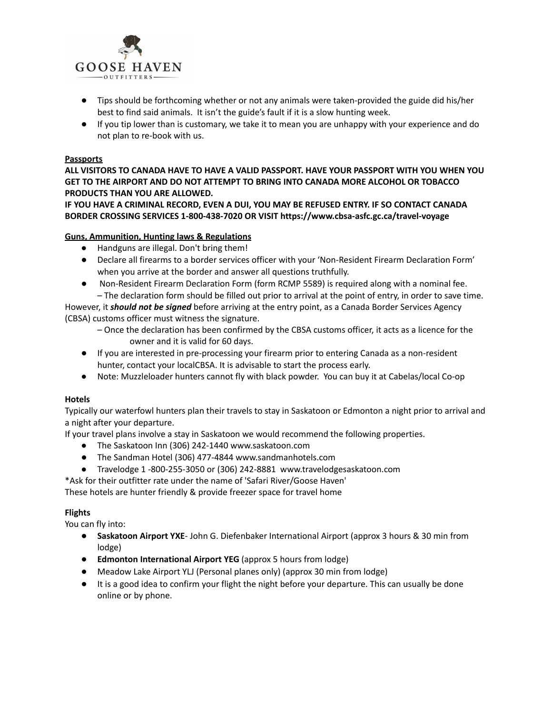

- Tips should be forthcoming whether or not any animals were taken-provided the guide did his/her best to find said animals. It isn't the guide's fault if it is a slow hunting week.
- If you tip lower than is customary, we take it to mean you are unhappy with your experience and do not plan to re-book with us.

### **Passports**

**ALL VISITORS TO CANADA HAVE TO HAVE A VALID PASSPORT. HAVE YOUR PASSPORT WITH YOU WHEN YOU GET TO THE AIRPORT AND DO NOT ATTEMPT TO BRING INTO CANADA MORE ALCOHOL OR TOBACCO PRODUCTS THAN YOU ARE ALLOWED.**

**IF YOU HAVE A CRIMINAL RECORD, EVEN A DUI, YOU MAY BE REFUSED ENTRY. IF SO CONTACT CANADA BORDER CROSSING SERVICES 1-800-438-7020 OR VISIT https://www.cbsa-asfc.gc.ca/travel-voyage**

### **Guns, Ammunition, Hunting laws & Regulations**

- Handguns are illegal. Don't bring them!
- Declare all firearms to a border services officer with your 'Non-Resident Firearm Declaration Form' when you arrive at the border and answer all questions truthfully.
- Non-Resident Firearm Declaration Form (form RCMP 5589) is required along with a nominal fee. – The declaration form should be filled out prior to arrival at the point of entry, in order to save time.

However, it *should not be signed* before arriving at the entry point, as a Canada Border Services Agency (CBSA) customs officer must witness the signature.

- Once the declaration has been confirmed by the CBSA customs officer, it acts as a licence for the owner and it is valid for 60 days.
- If you are interested in pre-processing your firearm prior to entering Canada as a non-resident hunter, contact your localCBSA. It is advisable to start the process early.
- Note: Muzzleloader hunters cannot fly with black powder. You can buy it at Cabelas/local Co-op

### **Hotels**

Typically our waterfowl hunters plan their travels to stay in Saskatoon or Edmonton a night prior to arrival and a night after your departure.

If your travel plans involve a stay in Saskatoon we would recommend the following properties.

- The Saskatoon Inn (306) 242-1440 www.saskatoon.com
- The Sandman Hotel (306) 477-4844 www.sandmanhotels.com
- Travelodge 1 -800-255-3050 or (306) 242-8881 www.travelodgesaskatoon.com
- \*Ask for their outfitter rate under the name of 'Safari River/Goose Haven'

These hotels are hunter friendly & provide freezer space for travel home

### **Flights**

You can fly into:

- **Saskatoon Airport YXE** John G. Diefenbaker International Airport (approx 3 hours & 30 min from lodge)
- **● Edmonton International Airport YEG** (approx 5 hours from lodge)
- Meadow Lake Airport YLJ (Personal planes only) (approx 30 min from lodge)
- It is a good idea to confirm your flight the night before your departure. This can usually be done online or by phone.